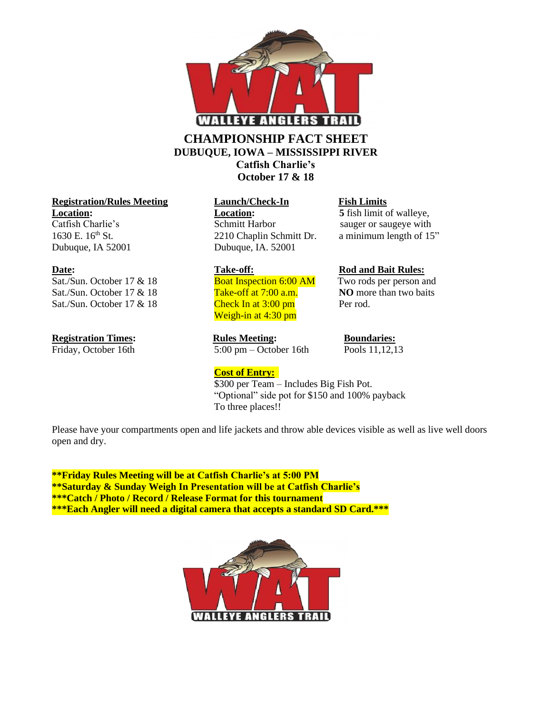

## **CHAMPIONSHIP FACT SHEET DUBUQUE, IOWA – MISSISSIPPI RIVER Catfish Charlie's**

**October 17 & 18**

### **Registration/Rules Meeting Launch/Check-In Fish Limits Location: Location: Location: 5** fish limit of walleye,

Sat./Sun. October 17 & 18 Boat Inspection 6:00 AM Two rods per person and Sat./Sun. October 17 & 18<br>**Take-off at 7:00 a.m. NO** more than two baits Sat./Sun. October 17  $& 18$  Check In at 3:00 pm Per rod.

Catfish Charlie's Schmitt Harbor sauger or saugeye with 1630 E. 16<sup>th</sup> St. 2210 Chaplin Schmitt Dr. a minimum length of 15" Dubuque, IA 52001 Dubuque, IA. 52001

Weigh-in at 4:30 pm

**Registration Times:**<br>Friday, October 16th **Rules Meeting:** Boundaries:<br> $\frac{3.00 \text{ pm} - \text{October 16th}}{5.00 \text{ pm} - \text{October 16th}}$  Pools 11,12,13  $5:00 \text{ pm} - \text{October 16th}$ 

**Cost of Entry:**

## **Date:** Take-off: Rod and Bait Rules:

\$300 per Team – Includes Big Fish Pot.

"Optional" side pot for \$150 and 100% payback To three places!!

Please have your compartments open and life jackets and throw able devices visible as well as live well doors open and dry.

**\*\*Friday Rules Meeting will be at Catfish Charlie's at 5:00 PM \*\*Saturday & Sunday Weigh In Presentation will be at Catfish Charlie's \*\*\*Catch / Photo / Record / Release Format for this tournament \*\*\*Each Angler will need a digital camera that accepts a standard SD Card.\*\*\***